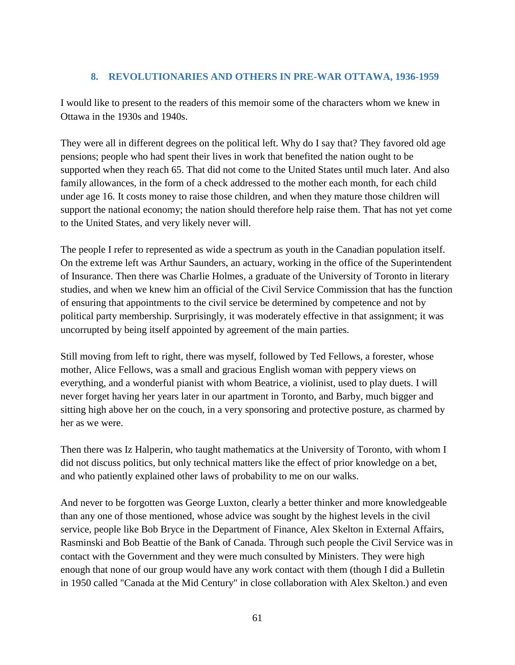## **8. REVOLUTIONARIES AND OTHERS IN PRE-WAR OTTAWA, 1936-1959**

I would like to present to the readers of this memoir some of the characters whom we knew in Ottawa in the 1930s and 1940s.

They were all in different degrees on the political left. Why do I say that? They favored old age pensions; people who had spent their lives in work that benefited the nation ought to be supported when they reach 65. That did not come to the United States until much later. And also family allowances, in the form of a check addressed to the mother each month, for each child under age 16. It costs money to raise those children, and when they mature those children will support the national economy; the nation should therefore help raise them. That has not yet come to the United States, and very likely never will.

The people I refer to represented as wide a spectrum as youth in the Canadian population itself. On the extreme left was Arthur Saunders, an actuary, working in the office of the Superintendent of Insurance. Then there was Charlie Holmes, a graduate of the University of Toronto in literary studies, and when we knew him an official of the Civil Service Commission that has the function of ensuring that appointments to the civil service be determined by competence and not by political party membership. Surprisingly, it was moderately effective in that assignment; it was uncorrupted by being itself appointed by agreement of the main parties.

Still moving from left to right, there was myself, followed by Ted Fellows, a forester, whose mother, Alice Fellows, was a small and gracious English woman with peppery views on everything, and a wonderful pianist with whom Beatrice, a violinist, used to play duets. I will never forget having her years later in our apartment in Toronto, and Barby, much bigger and sitting high above her on the couch, in a very sponsoring and protective posture, as charmed by her as we were.

Then there was Iz Halperin, who taught mathematics at the University of Toronto, with whom I did not discuss politics, but only technical matters like the effect of prior knowledge on a bet, and who patiently explained other laws of probability to me on our walks.

And never to be forgotten was George Luxton, clearly a better thinker and more knowledgeable than any one of those mentioned, whose advice was sought by the highest levels in the civil service, people like Bob Bryce in the Department of Finance, Alex Skelton in External Affairs, Rasminski and Bob Beattie of the Bank of Canada. Through such people the Civil Service was in contact with the Government and they were much consulted by Ministers. They were high enough that none of our group would have any work contact with them (though I did a Bulletin in 1950 called "Canada at the Mid Century" in close collaboration with Alex Skelton.) and even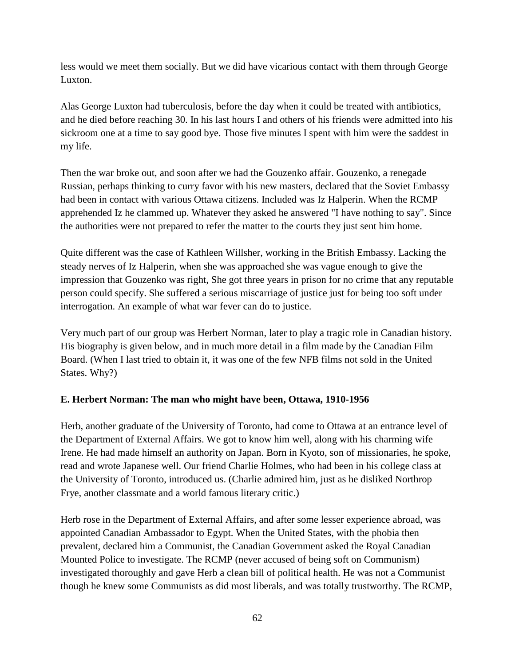less would we meet them socially. But we did have vicarious contact with them through George Luxton.

Alas George Luxton had tuberculosis, before the day when it could be treated with antibiotics, and he died before reaching 30. In his last hours I and others of his friends were admitted into his sickroom one at a time to say good bye. Those five minutes I spent with him were the saddest in my life.

Then the war broke out, and soon after we had the Gouzenko affair. Gouzenko, a renegade Russian, perhaps thinking to curry favor with his new masters, declared that the Soviet Embassy had been in contact with various Ottawa citizens. Included was Iz Halperin. When the RCMP apprehended Iz he clammed up. Whatever they asked he answered "I have nothing to say". Since the authorities were not prepared to refer the matter to the courts they just sent him home.

Quite different was the case of Kathleen Willsher, working in the British Embassy. Lacking the steady nerves of Iz Halperin, when she was approached she was vague enough to give the impression that Gouzenko was right, She got three years in prison for no crime that any reputable person could specify. She suffered a serious miscarriage of justice just for being too soft under interrogation. An example of what war fever can do to justice.

Very much part of our group was Herbert Norman, later to play a tragic role in Canadian history. His biography is given below, and in much more detail in a film made by the Canadian Film Board. (When I last tried to obtain it, it was one of the few NFB films not sold in the United States. Why?)

## **E. Herbert Norman: The man who might have been, Ottawa, 1910-1956**

Herb, another graduate of the University of Toronto, had come to Ottawa at an entrance level of the Department of External Affairs. We got to know him well, along with his charming wife Irene. He had made himself an authority on Japan. Born in Kyoto, son of missionaries, he spoke, read and wrote Japanese well. Our friend Charlie Holmes, who had been in his college class at the University of Toronto, introduced us. (Charlie admired him, just as he disliked Northrop Frye, another classmate and a world famous literary critic.)

Herb rose in the Department of External Affairs, and after some lesser experience abroad, was appointed Canadian Ambassador to Egypt. When the United States, with the phobia then prevalent, declared him a Communist, the Canadian Government asked the Royal Canadian Mounted Police to investigate. The RCMP (never accused of being soft on Communism) investigated thoroughly and gave Herb a clean bill of political health. He was not a Communist though he knew some Communists as did most liberals, and was totally trustworthy. The RCMP,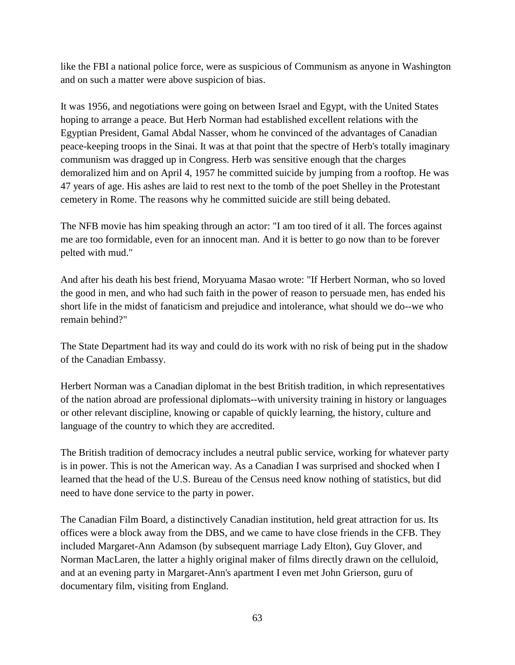like the FBI a national police force, were as suspicious of Communism as anyone in Washington and on such a matter were above suspicion of bias.

It was 1956, and negotiations were going on between Israel and Egypt, with the United States hoping to arrange a peace. But Herb Norman had established excellent relations with the Egyptian President, Gamal Abdal Nasser, whom he convinced of the advantages of Canadian peace-keeping troops in the Sinai. It was at that point that the spectre of Herb's totally imaginary communism was dragged up in Congress. Herb was sensitive enough that the charges demoralized him and on April 4, 1957 he committed suicide by jumping from a rooftop. He was 47 years of age. His ashes are laid to rest next to the tomb of the poet Shelley in the Protestant cemetery in Rome. The reasons why he committed suicide are still being debated.

The NFB movie has him speaking through an actor: "I am too tired of it all. The forces against me are too formidable, even for an innocent man. And it is better to go now than to be forever pelted with mud."

And after his death his best friend, Moryuama Masao wrote: "If Herbert Norman, who so loved the good in men, and who had such faith in the power of reason to persuade men, has ended his short life in the midst of fanaticism and prejudice and intolerance, what should we do--we who remain behind?"

The State Department had its way and could do its work with no risk of being put in the shadow of the Canadian Embassy.

Herbert Norman was a Canadian diplomat in the best British tradition, in which representatives of the nation abroad are professional diplomats--with university training in history or languages or other relevant discipline, knowing or capable of quickly learning, the history, culture and language of the country to which they are accredited.

The British tradition of democracy includes a neutral public service, working for whatever party is in power. This is not the American way. As a Canadian I was surprised and shocked when I learned that the head of the U.S. Bureau of the Census need know nothing of statistics, but did need to have done service to the party in power.

The Canadian Film Board, a distinctively Canadian institution, held great attraction for us. Its offices were a block away from the DBS, and we came to have close friends in the CFB. They included Margaret-Ann Adamson (by subsequent marriage Lady Elton), Guy Glover, and Norman MacLaren, the latter a highly original maker of films directly drawn on the celluloid, and at an evening party in Margaret-Ann's apartment I even met John Grierson, guru of documentary film, visiting from England.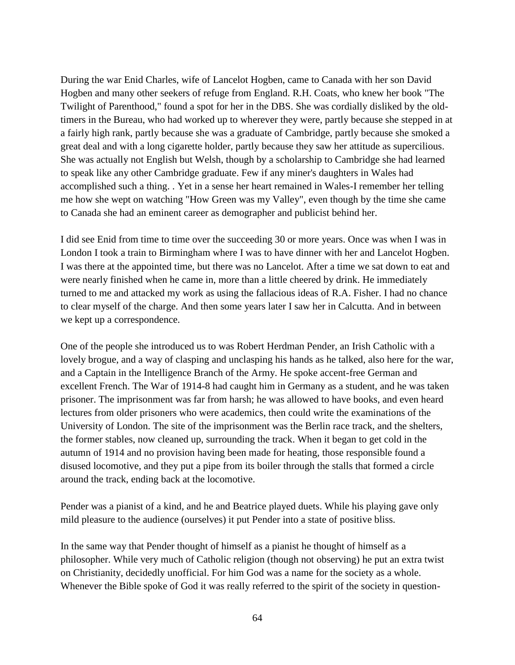During the war Enid Charles, wife of Lancelot Hogben, came to Canada with her son David Hogben and many other seekers of refuge from England. R.H. Coats, who knew her book "The Twilight of Parenthood," found a spot for her in the DBS. She was cordially disliked by the oldtimers in the Bureau, who had worked up to wherever they were, partly because she stepped in at a fairly high rank, partly because she was a graduate of Cambridge, partly because she smoked a great deal and with a long cigarette holder, partly because they saw her attitude as supercilious. She was actually not English but Welsh, though by a scholarship to Cambridge she had learned to speak like any other Cambridge graduate. Few if any miner's daughters in Wales had accomplished such a thing. . Yet in a sense her heart remained in Wales-I remember her telling me how she wept on watching "How Green was my Valley", even though by the time she came to Canada she had an eminent career as demographer and publicist behind her.

I did see Enid from time to time over the succeeding 30 or more years. Once was when I was in London I took a train to Birmingham where I was to have dinner with her and Lancelot Hogben. I was there at the appointed time, but there was no Lancelot. After a time we sat down to eat and were nearly finished when he came in, more than a little cheered by drink. He immediately turned to me and attacked my work as using the fallacious ideas of R.A. Fisher. I had no chance to clear myself of the charge. And then some years later I saw her in Calcutta. And in between we kept up a correspondence.

One of the people she introduced us to was Robert Herdman Pender, an Irish Catholic with a lovely brogue, and a way of clasping and unclasping his hands as he talked, also here for the war, and a Captain in the Intelligence Branch of the Army. He spoke accent-free German and excellent French. The War of 1914-8 had caught him in Germany as a student, and he was taken prisoner. The imprisonment was far from harsh; he was allowed to have books, and even heard lectures from older prisoners who were academics, then could write the examinations of the University of London. The site of the imprisonment was the Berlin race track, and the shelters, the former stables, now cleaned up, surrounding the track. When it began to get cold in the autumn of 1914 and no provision having been made for heating, those responsible found a disused locomotive, and they put a pipe from its boiler through the stalls that formed a circle around the track, ending back at the locomotive.

Pender was a pianist of a kind, and he and Beatrice played duets. While his playing gave only mild pleasure to the audience (ourselves) it put Pender into a state of positive bliss.

In the same way that Pender thought of himself as a pianist he thought of himself as a philosopher. While very much of Catholic religion (though not observing) he put an extra twist on Christianity, decidedly unofficial. For him God was a name for the society as a whole. Whenever the Bible spoke of God it was really referred to the spirit of the society in question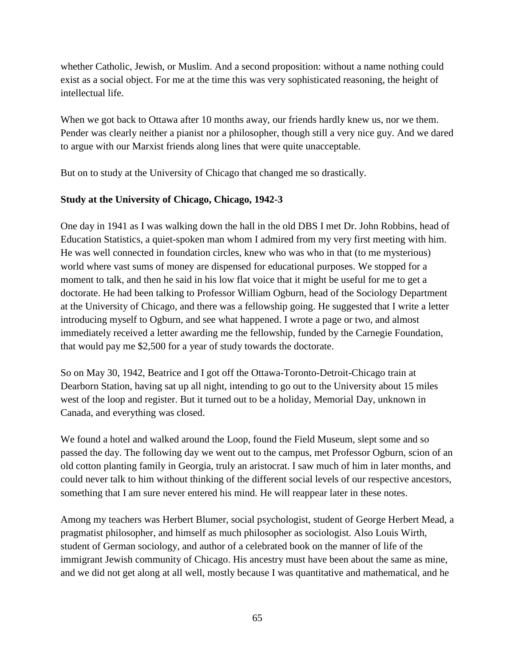whether Catholic, Jewish, or Muslim. And a second proposition: without a name nothing could exist as a social object. For me at the time this was very sophisticated reasoning, the height of intellectual life.

When we got back to Ottawa after 10 months away, our friends hardly knew us, nor we them. Pender was clearly neither a pianist nor a philosopher, though still a very nice guy. And we dared to argue with our Marxist friends along lines that were quite unacceptable.

But on to study at the University of Chicago that changed me so drastically.

# **Study at the University of Chicago, Chicago, 1942-3**

One day in 1941 as I was walking down the hall in the old DBS I met Dr. John Robbins, head of Education Statistics, a quiet-spoken man whom I admired from my very first meeting with him. He was well connected in foundation circles, knew who was who in that (to me mysterious) world where vast sums of money are dispensed for educational purposes. We stopped for a moment to talk, and then he said in his low flat voice that it might be useful for me to get a doctorate. He had been talking to Professor William Ogburn, head of the Sociology Department at the University of Chicago, and there was a fellowship going. He suggested that I write a letter introducing myself to Ogburn, and see what happened. I wrote a page or two, and almost immediately received a letter awarding me the fellowship, funded by the Carnegie Foundation, that would pay me \$2,500 for a year of study towards the doctorate.

So on May 30, 1942, Beatrice and I got off the Ottawa-Toronto-Detroit-Chicago train at Dearborn Station, having sat up all night, intending to go out to the University about 15 miles west of the loop and register. But it turned out to be a holiday, Memorial Day, unknown in Canada, and everything was closed.

We found a hotel and walked around the Loop, found the Field Museum, slept some and so passed the day. The following day we went out to the campus, met Professor Ogburn, scion of an old cotton planting family in Georgia, truly an aristocrat. I saw much of him in later months, and could never talk to him without thinking of the different social levels of our respective ancestors, something that I am sure never entered his mind. He will reappear later in these notes.

Among my teachers was Herbert Blumer, social psychologist, student of George Herbert Mead, a pragmatist philosopher, and himself as much philosopher as sociologist. Also Louis Wirth, student of German sociology, and author of a celebrated book on the manner of life of the immigrant Jewish community of Chicago. His ancestry must have been about the same as mine, and we did not get along at all well, mostly because I was quantitative and mathematical, and he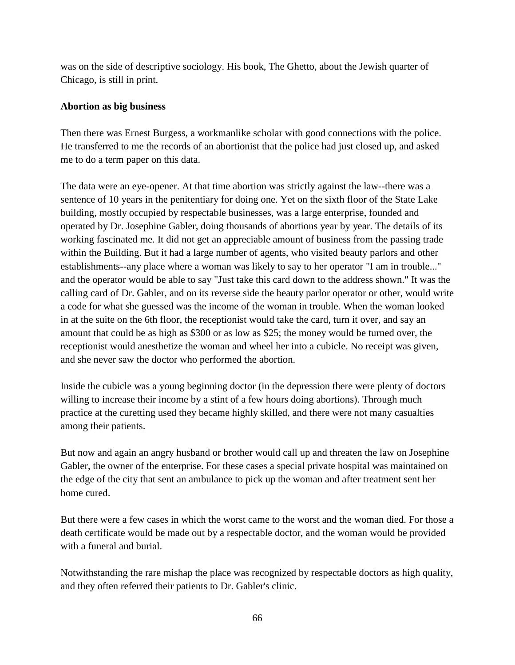was on the side of descriptive sociology. His book, The Ghetto, about the Jewish quarter of Chicago, is still in print.

## **Abortion as big business**

Then there was Ernest Burgess, a workmanlike scholar with good connections with the police. He transferred to me the records of an abortionist that the police had just closed up, and asked me to do a term paper on this data.

The data were an eye-opener. At that time abortion was strictly against the law--there was a sentence of 10 years in the penitentiary for doing one. Yet on the sixth floor of the State Lake building, mostly occupied by respectable businesses, was a large enterprise, founded and operated by Dr. Josephine Gabler, doing thousands of abortions year by year. The details of its working fascinated me. It did not get an appreciable amount of business from the passing trade within the Building. But it had a large number of agents, who visited beauty parlors and other establishments--any place where a woman was likely to say to her operator "I am in trouble..." and the operator would be able to say "Just take this card down to the address shown." It was the calling card of Dr. Gabler, and on its reverse side the beauty parlor operator or other, would write a code for what she guessed was the income of the woman in trouble. When the woman looked in at the suite on the 6th floor, the receptionist would take the card, turn it over, and say an amount that could be as high as \$300 or as low as \$25; the money would be turned over, the receptionist would anesthetize the woman and wheel her into a cubicle. No receipt was given, and she never saw the doctor who performed the abortion.

Inside the cubicle was a young beginning doctor (in the depression there were plenty of doctors willing to increase their income by a stint of a few hours doing abortions). Through much practice at the curetting used they became highly skilled, and there were not many casualties among their patients.

But now and again an angry husband or brother would call up and threaten the law on Josephine Gabler, the owner of the enterprise. For these cases a special private hospital was maintained on the edge of the city that sent an ambulance to pick up the woman and after treatment sent her home cured.

But there were a few cases in which the worst came to the worst and the woman died. For those a death certificate would be made out by a respectable doctor, and the woman would be provided with a funeral and burial.

Notwithstanding the rare mishap the place was recognized by respectable doctors as high quality, and they often referred their patients to Dr. Gabler's clinic.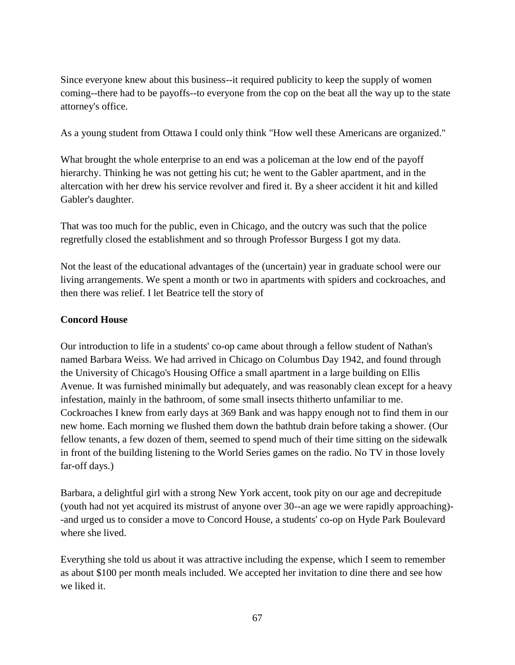Since everyone knew about this business--it required publicity to keep the supply of women coming--there had to be payoffs--to everyone from the cop on the beat all the way up to the state attorney's office.

As a young student from Ottawa I could only think "How well these Americans are organized."

What brought the whole enterprise to an end was a policeman at the low end of the payoff hierarchy. Thinking he was not getting his cut; he went to the Gabler apartment, and in the altercation with her drew his service revolver and fired it. By a sheer accident it hit and killed Gabler's daughter.

That was too much for the public, even in Chicago, and the outcry was such that the police regretfully closed the establishment and so through Professor Burgess I got my data.

Not the least of the educational advantages of the (uncertain) year in graduate school were our living arrangements. We spent a month or two in apartments with spiders and cockroaches, and then there was relief. I let Beatrice tell the story of

#### **Concord House**

Our introduction to life in a students' co-op came about through a fellow student of Nathan's named Barbara Weiss. We had arrived in Chicago on Columbus Day 1942, and found through the University of Chicago's Housing Office a small apartment in a large building on Ellis Avenue. It was furnished minimally but adequately, and was reasonably clean except for a heavy infestation, mainly in the bathroom, of some small insects thitherto unfamiliar to me. Cockroaches I knew from early days at 369 Bank and was happy enough not to find them in our new home. Each morning we flushed them down the bathtub drain before taking a shower. (Our fellow tenants, a few dozen of them, seemed to spend much of their time sitting on the sidewalk in front of the building listening to the World Series games on the radio. No TV in those lovely far-off days.)

Barbara, a delightful girl with a strong New York accent, took pity on our age and decrepitude (youth had not yet acquired its mistrust of anyone over 30--an age we were rapidly approaching)- -and urged us to consider a move to Concord House, a students' co-op on Hyde Park Boulevard where she lived.

Everything she told us about it was attractive including the expense, which I seem to remember as about \$100 per month meals included. We accepted her invitation to dine there and see how we liked it.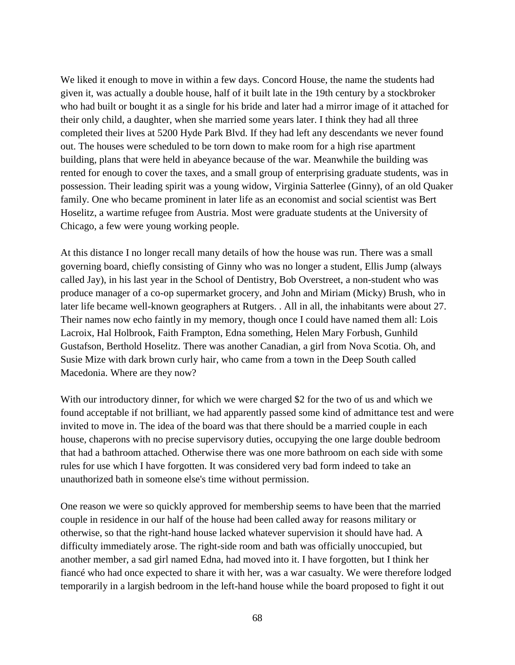We liked it enough to move in within a few days. Concord House, the name the students had given it, was actually a double house, half of it built late in the 19th century by a stockbroker who had built or bought it as a single for his bride and later had a mirror image of it attached for their only child, a daughter, when she married some years later. I think they had all three completed their lives at 5200 Hyde Park Blvd. If they had left any descendants we never found out. The houses were scheduled to be torn down to make room for a high rise apartment building, plans that were held in abeyance because of the war. Meanwhile the building was rented for enough to cover the taxes, and a small group of enterprising graduate students, was in possession. Their leading spirit was a young widow, Virginia Satterlee (Ginny), of an old Quaker family. One who became prominent in later life as an economist and social scientist was Bert Hoselitz, a wartime refugee from Austria. Most were graduate students at the University of Chicago, a few were young working people.

At this distance I no longer recall many details of how the house was run. There was a small governing board, chiefly consisting of Ginny who was no longer a student, Ellis Jump (always called Jay), in his last year in the School of Dentistry, Bob Overstreet, a non-student who was produce manager of a co-op supermarket grocery, and John and Miriam (Micky) Brush, who in later life became well-known geographers at Rutgers. . All in all, the inhabitants were about 27. Their names now echo faintly in my memory, though once I could have named them all: Lois Lacroix, Hal Holbrook, Faith Frampton, Edna something, Helen Mary Forbush, Gunhild Gustafson, Berthold Hoselitz. There was another Canadian, a girl from Nova Scotia. Oh, and Susie Mize with dark brown curly hair, who came from a town in the Deep South called Macedonia. Where are they now?

With our introductory dinner, for which we were charged \$2 for the two of us and which we found acceptable if not brilliant, we had apparently passed some kind of admittance test and were invited to move in. The idea of the board was that there should be a married couple in each house, chaperons with no precise supervisory duties, occupying the one large double bedroom that had a bathroom attached. Otherwise there was one more bathroom on each side with some rules for use which I have forgotten. It was considered very bad form indeed to take an unauthorized bath in someone else's time without permission.

One reason we were so quickly approved for membership seems to have been that the married couple in residence in our half of the house had been called away for reasons military or otherwise, so that the right-hand house lacked whatever supervision it should have had. A difficulty immediately arose. The right-side room and bath was officially unoccupied, but another member, a sad girl named Edna, had moved into it. I have forgotten, but I think her fiancé who had once expected to share it with her, was a war casualty. We were therefore lodged temporarily in a largish bedroom in the left-hand house while the board proposed to fight it out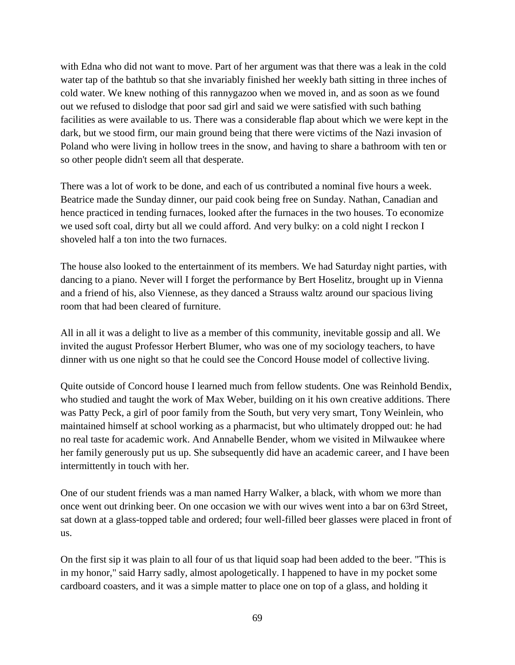with Edna who did not want to move. Part of her argument was that there was a leak in the cold water tap of the bathtub so that she invariably finished her weekly bath sitting in three inches of cold water. We knew nothing of this rannygazoo when we moved in, and as soon as we found out we refused to dislodge that poor sad girl and said we were satisfied with such bathing facilities as were available to us. There was a considerable flap about which we were kept in the dark, but we stood firm, our main ground being that there were victims of the Nazi invasion of Poland who were living in hollow trees in the snow, and having to share a bathroom with ten or so other people didn't seem all that desperate.

There was a lot of work to be done, and each of us contributed a nominal five hours a week. Beatrice made the Sunday dinner, our paid cook being free on Sunday. Nathan, Canadian and hence practiced in tending furnaces, looked after the furnaces in the two houses. To economize we used soft coal, dirty but all we could afford. And very bulky: on a cold night I reckon I shoveled half a ton into the two furnaces.

The house also looked to the entertainment of its members. We had Saturday night parties, with dancing to a piano. Never will I forget the performance by Bert Hoselitz, brought up in Vienna and a friend of his, also Viennese, as they danced a Strauss waltz around our spacious living room that had been cleared of furniture.

All in all it was a delight to live as a member of this community, inevitable gossip and all. We invited the august Professor Herbert Blumer, who was one of my sociology teachers, to have dinner with us one night so that he could see the Concord House model of collective living.

Quite outside of Concord house I learned much from fellow students. One was Reinhold Bendix, who studied and taught the work of Max Weber, building on it his own creative additions. There was Patty Peck, a girl of poor family from the South, but very very smart, Tony Weinlein, who maintained himself at school working as a pharmacist, but who ultimately dropped out: he had no real taste for academic work. And Annabelle Bender, whom we visited in Milwaukee where her family generously put us up. She subsequently did have an academic career, and I have been intermittently in touch with her.

One of our student friends was a man named Harry Walker, a black, with whom we more than once went out drinking beer. On one occasion we with our wives went into a bar on 63rd Street, sat down at a glass-topped table and ordered; four well-filled beer glasses were placed in front of us.

On the first sip it was plain to all four of us that liquid soap had been added to the beer. "This is in my honor," said Harry sadly, almost apologetically. I happened to have in my pocket some cardboard coasters, and it was a simple matter to place one on top of a glass, and holding it